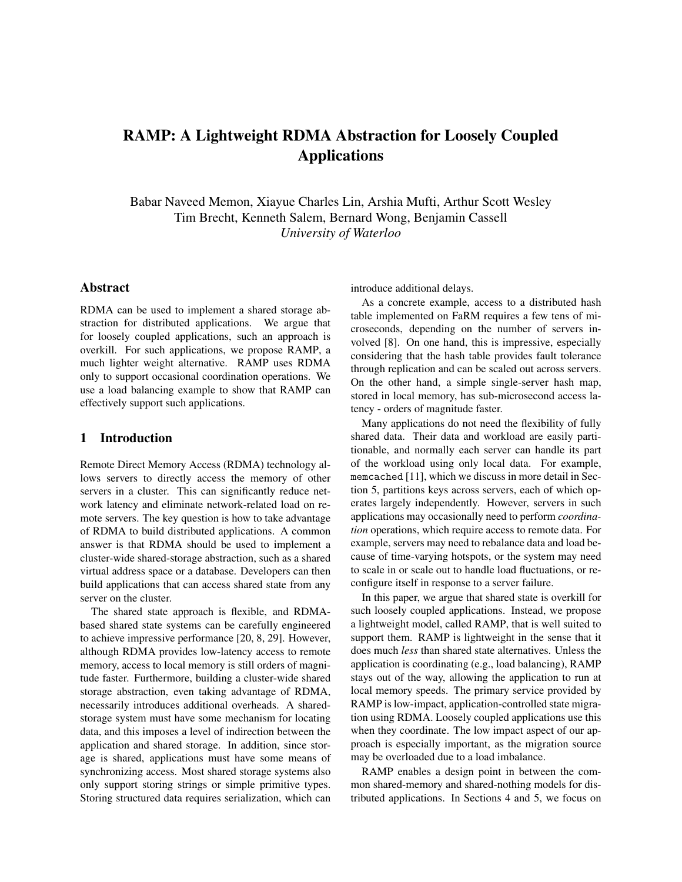# RAMP: A Lightweight RDMA Abstraction for Loosely Coupled Applications

Babar Naveed Memon, Xiayue Charles Lin, Arshia Mufti, Arthur Scott Wesley Tim Brecht, Kenneth Salem, Bernard Wong, Benjamin Cassell *University of Waterloo*

# Abstract

RDMA can be used to implement a shared storage abstraction for distributed applications. We argue that for loosely coupled applications, such an approach is overkill. For such applications, we propose RAMP, a much lighter weight alternative. RAMP uses RDMA only to support occasional coordination operations. We use a load balancing example to show that RAMP can effectively support such applications.

#### 1 Introduction

Remote Direct Memory Access (RDMA) technology allows servers to directly access the memory of other servers in a cluster. This can significantly reduce network latency and eliminate network-related load on remote servers. The key question is how to take advantage of RDMA to build distributed applications. A common answer is that RDMA should be used to implement a cluster-wide shared-storage abstraction, such as a shared virtual address space or a database. Developers can then build applications that can access shared state from any server on the cluster.

The shared state approach is flexible, and RDMAbased shared state systems can be carefully engineered to achieve impressive performance [20, 8, 29]. However, although RDMA provides low-latency access to remote memory, access to local memory is still orders of magnitude faster. Furthermore, building a cluster-wide shared storage abstraction, even taking advantage of RDMA, necessarily introduces additional overheads. A sharedstorage system must have some mechanism for locating data, and this imposes a level of indirection between the application and shared storage. In addition, since storage is shared, applications must have some means of synchronizing access. Most shared storage systems also only support storing strings or simple primitive types. Storing structured data requires serialization, which can introduce additional delays.

As a concrete example, access to a distributed hash table implemented on FaRM requires a few tens of microseconds, depending on the number of servers involved [8]. On one hand, this is impressive, especially considering that the hash table provides fault tolerance through replication and can be scaled out across servers. On the other hand, a simple single-server hash map, stored in local memory, has sub-microsecond access latency - orders of magnitude faster.

Many applications do not need the flexibility of fully shared data. Their data and workload are easily partitionable, and normally each server can handle its part of the workload using only local data. For example, memcached [11], which we discuss in more detail in Section 5, partitions keys across servers, each of which operates largely independently. However, servers in such applications may occasionally need to perform *coordination* operations, which require access to remote data. For example, servers may need to rebalance data and load because of time-varying hotspots, or the system may need to scale in or scale out to handle load fluctuations, or reconfigure itself in response to a server failure.

In this paper, we argue that shared state is overkill for such loosely coupled applications. Instead, we propose a lightweight model, called RAMP, that is well suited to support them. RAMP is lightweight in the sense that it does much *less* than shared state alternatives. Unless the application is coordinating (e.g., load balancing), RAMP stays out of the way, allowing the application to run at local memory speeds. The primary service provided by RAMP is low-impact, application-controlled state migration using RDMA. Loosely coupled applications use this when they coordinate. The low impact aspect of our approach is especially important, as the migration source may be overloaded due to a load imbalance.

RAMP enables a design point in between the common shared-memory and shared-nothing models for distributed applications. In Sections 4 and 5, we focus on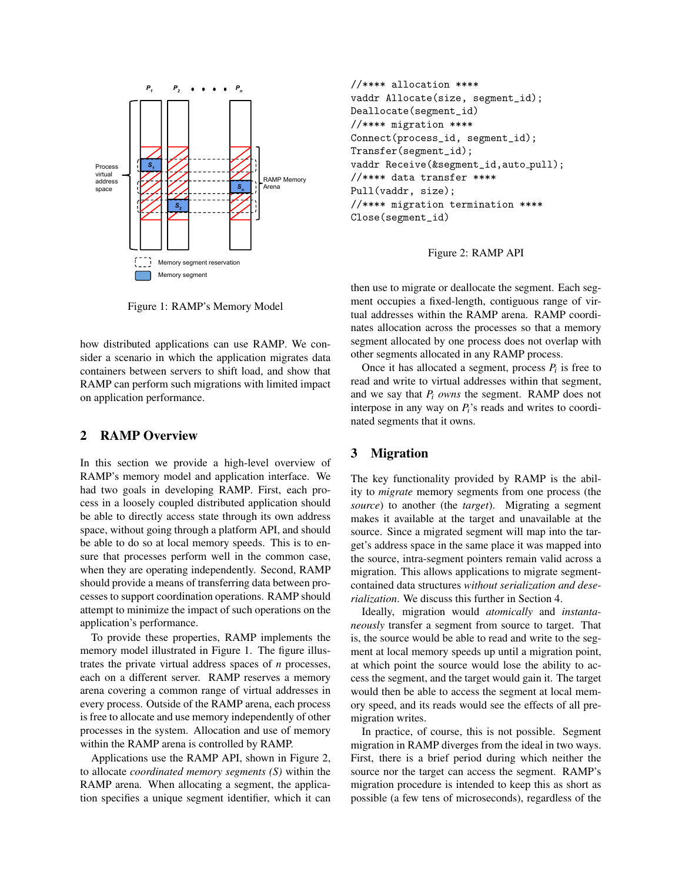

Figure 1: RAMP's Memory Model

how distributed applications can use RAMP. We consider a scenario in which the application migrates data containers between servers to shift load, and show that RAMP can perform such migrations with limited impact on application performance.

# 2 RAMP Overview

In this section we provide a high-level overview of RAMP's memory model and application interface. We had two goals in developing RAMP. First, each process in a loosely coupled distributed application should be able to directly access state through its own address space, without going through a platform API, and should be able to do so at local memory speeds. This is to ensure that processes perform well in the common case, when they are operating independently. Second, RAMP should provide a means of transferring data between processes to support coordination operations. RAMP should attempt to minimize the impact of such operations on the application's performance.

To provide these properties, RAMP implements the memory model illustrated in Figure 1. The figure illustrates the private virtual address spaces of *n* processes, each on a different server. RAMP reserves a memory arena covering a common range of virtual addresses in every process. Outside of the RAMP arena, each process is free to allocate and use memory independently of other processes in the system. Allocation and use of memory within the RAMP arena is controlled by RAMP.

Applications use the RAMP API, shown in Figure 2, to allocate *coordinated memory segments (S)* within the RAMP arena. When allocating a segment, the application specifies a unique segment identifier, which it can

```
//**** allocation ****
vaddr Allocate(size, segment_id);
Deallocate(segment_id)
//**** migration ****
Connect(process_id, segment_id);
Transfer(segment_id);
vaddr Receive(&segment_id,auto_pull);
//**** data transfer ****
Pull(vaddr, size);
//**** migration termination ****
Close(segment_id)
```


then use to migrate or deallocate the segment. Each segment occupies a fixed-length, contiguous range of virtual addresses within the RAMP arena. RAMP coordinates allocation across the processes so that a memory segment allocated by one process does not overlap with other segments allocated in any RAMP process.

Once it has allocated a segment, process  $P_i$  is free to read and write to virtual addresses within that segment, and we say that *P<sup>i</sup> owns* the segment. RAMP does not interpose in any way on *Pi*'s reads and writes to coordinated segments that it owns.

#### 3 Migration

The key functionality provided by RAMP is the ability to *migrate* memory segments from one process (the *source*) to another (the *target*). Migrating a segment makes it available at the target and unavailable at the source. Since a migrated segment will map into the target's address space in the same place it was mapped into the source, intra-segment pointers remain valid across a migration. This allows applications to migrate segmentcontained data structures *without serialization and deserialization*. We discuss this further in Section 4.

Ideally, migration would *atomically* and *instantaneously* transfer a segment from source to target. That is, the source would be able to read and write to the segment at local memory speeds up until a migration point, at which point the source would lose the ability to access the segment, and the target would gain it. The target would then be able to access the segment at local memory speed, and its reads would see the effects of all premigration writes.

In practice, of course, this is not possible. Segment migration in RAMP diverges from the ideal in two ways. First, there is a brief period during which neither the source nor the target can access the segment. RAMP's migration procedure is intended to keep this as short as possible (a few tens of microseconds), regardless of the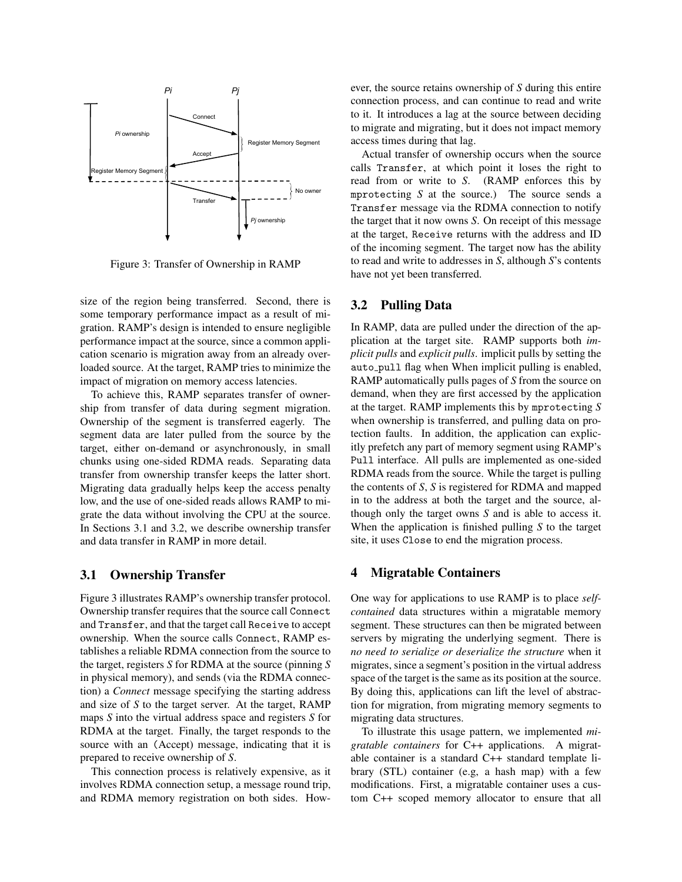

Figure 3: Transfer of Ownership in RAMP

size of the region being transferred. Second, there is some temporary performance impact as a result of migration. RAMP's design is intended to ensure negligible performance impact at the source, since a common application scenario is migration away from an already overloaded source. At the target, RAMP tries to minimize the impact of migration on memory access latencies.

To achieve this, RAMP separates transfer of ownership from transfer of data during segment migration. Ownership of the segment is transferred eagerly. The segment data are later pulled from the source by the target, either on-demand or asynchronously, in small chunks using one-sided RDMA reads. Separating data transfer from ownership transfer keeps the latter short. Migrating data gradually helps keep the access penalty low, and the use of one-sided reads allows RAMP to migrate the data without involving the CPU at the source. In Sections 3.1 and 3.2, we describe ownership transfer and data transfer in RAMP in more detail.

#### 3.1 Ownership Transfer

Figure 3 illustrates RAMP's ownership transfer protocol. Ownership transfer requires that the source call Connect and Transfer, and that the target call Receive to accept ownership. When the source calls Connect, RAMP establishes a reliable RDMA connection from the source to the target, registers *S* for RDMA at the source (pinning *S* in physical memory), and sends (via the RDMA connection) a *Connect* message specifying the starting address and size of *S* to the target server. At the target, RAMP maps *S* into the virtual address space and registers *S* for RDMA at the target. Finally, the target responds to the source with an (Accept) message, indicating that it is prepared to receive ownership of *S*.

This connection process is relatively expensive, as it involves RDMA connection setup, a message round trip, and RDMA memory registration on both sides. However, the source retains ownership of *S* during this entire connection process, and can continue to read and write to it. It introduces a lag at the source between deciding to migrate and migrating, but it does not impact memory access times during that lag.

Actual transfer of ownership occurs when the source calls Transfer, at which point it loses the right to read from or write to *S*. (RAMP enforces this by mprotecting *S* at the source.) The source sends a Transfer message via the RDMA connection to notify the target that it now owns *S*. On receipt of this message at the target, Receive returns with the address and ID of the incoming segment. The target now has the ability to read and write to addresses in *S*, although *S*'s contents have not yet been transferred.

#### 3.2 Pulling Data

In RAMP, data are pulled under the direction of the application at the target site. RAMP supports both *implicit pulls* and *explicit pulls*. implicit pulls by setting the auto pull flag when When implicit pulling is enabled, RAMP automatically pulls pages of *S* from the source on demand, when they are first accessed by the application at the target. RAMP implements this by mprotecting *S* when ownership is transferred, and pulling data on protection faults. In addition, the application can explicitly prefetch any part of memory segment using RAMP's Pull interface. All pulls are implemented as one-sided RDMA reads from the source. While the target is pulling the contents of *S*, *S* is registered for RDMA and mapped in to the address at both the target and the source, although only the target owns *S* and is able to access it. When the application is finished pulling *S* to the target site, it uses Close to end the migration process.

#### 4 Migratable Containers

One way for applications to use RAMP is to place *selfcontained* data structures within a migratable memory segment. These structures can then be migrated between servers by migrating the underlying segment. There is *no need to serialize or deserialize the structure* when it migrates, since a segment's position in the virtual address space of the target is the same as its position at the source. By doing this, applications can lift the level of abstraction for migration, from migrating memory segments to migrating data structures.

To illustrate this usage pattern, we implemented *migratable containers* for C++ applications. A migratable container is a standard C++ standard template library (STL) container (e.g, a hash map) with a few modifications. First, a migratable container uses a custom C++ scoped memory allocator to ensure that all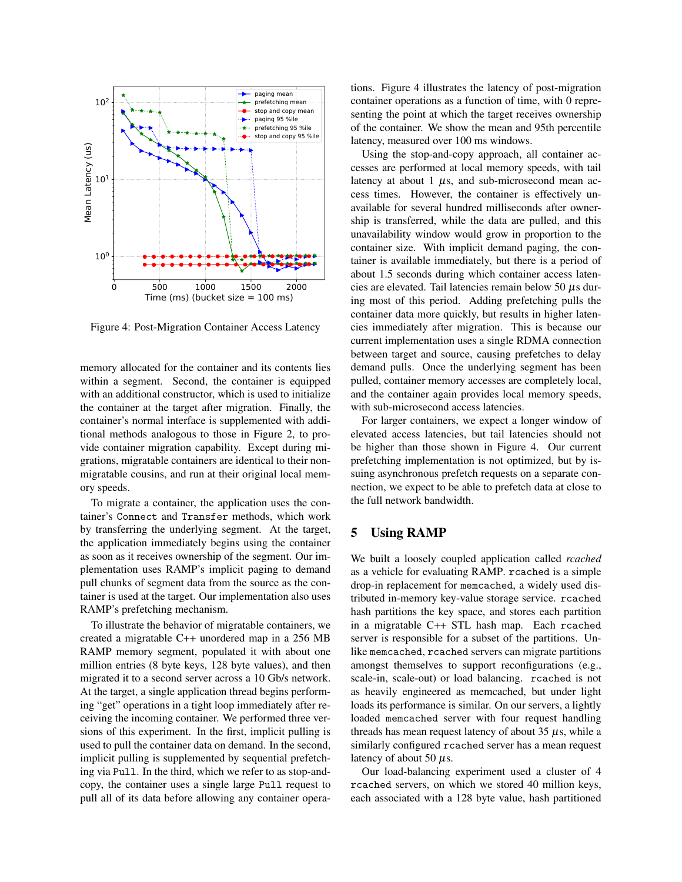

Figure 4: Post-Migration Container Access Latency

memory allocated for the container and its contents lies within a segment. Second, the container is equipped with an additional constructor, which is used to initialize the container at the target after migration. Finally, the container's normal interface is supplemented with additional methods analogous to those in Figure 2, to provide container migration capability. Except during migrations, migratable containers are identical to their nonmigratable cousins, and run at their original local memory speeds.

To migrate a container, the application uses the container's Connect and Transfer methods, which work by transferring the underlying segment. At the target, the application immediately begins using the container as soon as it receives ownership of the segment. Our implementation uses RAMP's implicit paging to demand pull chunks of segment data from the source as the container is used at the target. Our implementation also uses RAMP's prefetching mechanism.

To illustrate the behavior of migratable containers, we created a migratable C++ unordered map in a 256 MB RAMP memory segment, populated it with about one million entries (8 byte keys, 128 byte values), and then migrated it to a second server across a 10 Gb/s network. At the target, a single application thread begins performing "get" operations in a tight loop immediately after receiving the incoming container. We performed three versions of this experiment. In the first, implicit pulling is used to pull the container data on demand. In the second, implicit pulling is supplemented by sequential prefetching via Pull. In the third, which we refer to as stop-andcopy, the container uses a single large Pull request to pull all of its data before allowing any container operations. Figure 4 illustrates the latency of post-migration container operations as a function of time, with 0 representing the point at which the target receives ownership of the container. We show the mean and 95th percentile latency, measured over 100 ms windows.

Using the stop-and-copy approach, all container accesses are performed at local memory speeds, with tail latency at about 1  $\mu$ s, and sub-microsecond mean access times. However, the container is effectively unavailable for several hundred milliseconds after ownership is transferred, while the data are pulled, and this unavailability window would grow in proportion to the container size. With implicit demand paging, the container is available immediately, but there is a period of about 1.5 seconds during which container access latencies are elevated. Tail latencies remain below 50  $\mu$ s during most of this period. Adding prefetching pulls the container data more quickly, but results in higher latencies immediately after migration. This is because our current implementation uses a single RDMA connection between target and source, causing prefetches to delay demand pulls. Once the underlying segment has been pulled, container memory accesses are completely local, and the container again provides local memory speeds, with sub-microsecond access latencies.

For larger containers, we expect a longer window of elevated access latencies, but tail latencies should not be higher than those shown in Figure 4. Our current prefetching implementation is not optimized, but by issuing asynchronous prefetch requests on a separate connection, we expect to be able to prefetch data at close to the full network bandwidth.

# 5 Using RAMP

We built a loosely coupled application called *rcached* as a vehicle for evaluating RAMP. rcached is a simple drop-in replacement for memcached, a widely used distributed in-memory key-value storage service. rcached hash partitions the key space, and stores each partition in a migratable C++ STL hash map. Each rcached server is responsible for a subset of the partitions. Unlike memcached, rcached servers can migrate partitions amongst themselves to support reconfigurations (e.g., scale-in, scale-out) or load balancing. rcached is not as heavily engineered as memcached, but under light loads its performance is similar. On our servers, a lightly loaded memcached server with four request handling threads has mean request latency of about  $35 \mu s$ , while a similarly configured rcached server has a mean request latency of about 50  $\mu$ s.

Our load-balancing experiment used a cluster of 4 rcached servers, on which we stored 40 million keys, each associated with a 128 byte value, hash partitioned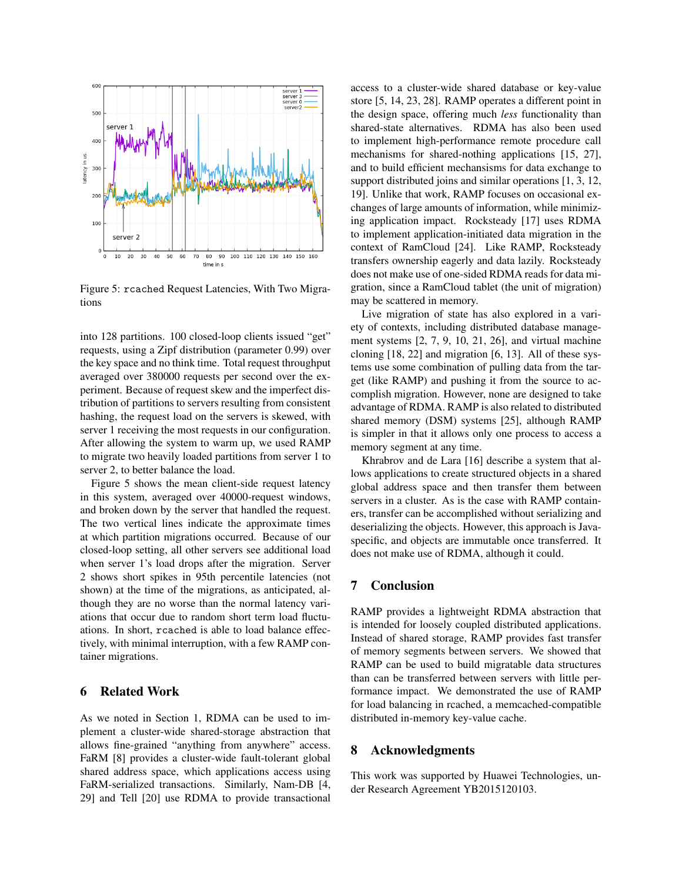

Figure 5: rcached Request Latencies, With Two Migrations

into 128 partitions. 100 closed-loop clients issued "get" requests, using a Zipf distribution (parameter 0.99) over the key space and no think time. Total request throughput averaged over 380000 requests per second over the experiment. Because of request skew and the imperfect distribution of partitions to servers resulting from consistent hashing, the request load on the servers is skewed, with server 1 receiving the most requests in our configuration. After allowing the system to warm up, we used RAMP to migrate two heavily loaded partitions from server 1 to server 2, to better balance the load.

Figure 5 shows the mean client-side request latency in this system, averaged over 40000-request windows, and broken down by the server that handled the request. The two vertical lines indicate the approximate times at which partition migrations occurred. Because of our closed-loop setting, all other servers see additional load when server 1's load drops after the migration. Server 2 shows short spikes in 95th percentile latencies (not shown) at the time of the migrations, as anticipated, although they are no worse than the normal latency variations that occur due to random short term load fluctuations. In short, rcached is able to load balance effectively, with minimal interruption, with a few RAMP container migrations.

# 6 Related Work

As we noted in Section 1, RDMA can be used to implement a cluster-wide shared-storage abstraction that allows fine-grained "anything from anywhere" access. FaRM [8] provides a cluster-wide fault-tolerant global shared address space, which applications access using FaRM-serialized transactions. Similarly, Nam-DB [4, 29] and Tell [20] use RDMA to provide transactional access to a cluster-wide shared database or key-value store [5, 14, 23, 28]. RAMP operates a different point in the design space, offering much *less* functionality than shared-state alternatives. RDMA has also been used to implement high-performance remote procedure call mechanisms for shared-nothing applications [15, 27], and to build efficient mechansisms for data exchange to support distributed joins and similar operations [1, 3, 12, 19]. Unlike that work, RAMP focuses on occasional exchanges of large amounts of information, while minimizing application impact. Rocksteady [17] uses RDMA to implement application-initiated data migration in the context of RamCloud [24]. Like RAMP, Rocksteady transfers ownership eagerly and data lazily. Rocksteady does not make use of one-sided RDMA reads for data migration, since a RamCloud tablet (the unit of migration) may be scattered in memory.

Live migration of state has also explored in a variety of contexts, including distributed database management systems [2, 7, 9, 10, 21, 26], and virtual machine cloning [18, 22] and migration [6, 13]. All of these systems use some combination of pulling data from the target (like RAMP) and pushing it from the source to accomplish migration. However, none are designed to take advantage of RDMA. RAMP is also related to distributed shared memory (DSM) systems [25], although RAMP is simpler in that it allows only one process to access a memory segment at any time.

Khrabrov and de Lara [16] describe a system that allows applications to create structured objects in a shared global address space and then transfer them between servers in a cluster. As is the case with RAMP containers, transfer can be accomplished without serializing and deserializing the objects. However, this approach is Javaspecific, and objects are immutable once transferred. It does not make use of RDMA, although it could.

#### 7 Conclusion

RAMP provides a lightweight RDMA abstraction that is intended for loosely coupled distributed applications. Instead of shared storage, RAMP provides fast transfer of memory segments between servers. We showed that RAMP can be used to build migratable data structures than can be transferred between servers with little performance impact. We demonstrated the use of RAMP for load balancing in rcached, a memcached-compatible distributed in-memory key-value cache.

#### 8 Acknowledgments

This work was supported by Huawei Technologies, under Research Agreement YB2015120103.